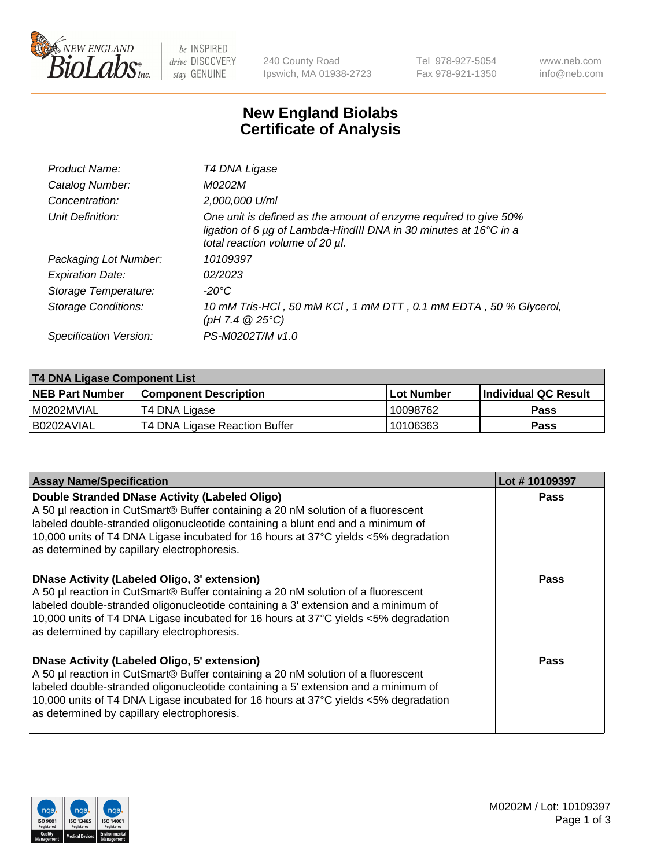

be INSPIRED drive DISCOVERY stay GENUINE

240 County Road Ipswich, MA 01938-2723 Tel 978-927-5054 Fax 978-921-1350 www.neb.com info@neb.com

## **New England Biolabs Certificate of Analysis**

| Product Name:              | T4 DNA Ligase                                                                                                                                                            |
|----------------------------|--------------------------------------------------------------------------------------------------------------------------------------------------------------------------|
| Catalog Number:            | M0202M                                                                                                                                                                   |
| Concentration:             | 2,000,000 U/ml                                                                                                                                                           |
| Unit Definition:           | One unit is defined as the amount of enzyme required to give 50%<br>ligation of 6 µg of Lambda-HindIII DNA in 30 minutes at 16°C in a<br>total reaction volume of 20 µl. |
| Packaging Lot Number:      | 10109397                                                                                                                                                                 |
| <b>Expiration Date:</b>    | 02/2023                                                                                                                                                                  |
| Storage Temperature:       | $-20^{\circ}$ C                                                                                                                                                          |
| <b>Storage Conditions:</b> | 10 mM Tris-HCl, 50 mM KCl, 1 mM DTT, 0.1 mM EDTA, 50 % Glycerol,<br>(pH 7.4 $@25°C$ )                                                                                    |
| Specification Version:     | PS-M0202T/M v1.0                                                                                                                                                         |

| T4 DNA Ligase Component List |                               |                   |                      |  |
|------------------------------|-------------------------------|-------------------|----------------------|--|
| <b>NEB Part Number</b>       | <b>Component Description</b>  | <b>Lot Number</b> | Individual QC Result |  |
| I M0202MVIAL                 | T4 DNA Ligase                 | 10098762          | <b>Pass</b>          |  |
| I B0202AVIAL                 | T4 DNA Ligase Reaction Buffer | 10106363 '        | <b>Pass</b>          |  |

| <b>Assay Name/Specification</b>                                                                                                                                                                                                                                                                                                                               | Lot #10109397 |
|---------------------------------------------------------------------------------------------------------------------------------------------------------------------------------------------------------------------------------------------------------------------------------------------------------------------------------------------------------------|---------------|
| Double Stranded DNase Activity (Labeled Oligo)<br>A 50 µl reaction in CutSmart® Buffer containing a 20 nM solution of a fluorescent<br>abeled double-stranded oligonucleotide containing a blunt end and a minimum of<br>10,000 units of T4 DNA Ligase incubated for 16 hours at 37°C yields <5% degradation<br>as determined by capillary electrophoresis.   | <b>Pass</b>   |
| DNase Activity (Labeled Oligo, 3' extension)<br>A 50 µl reaction in CutSmart® Buffer containing a 20 nM solution of a fluorescent<br>labeled double-stranded oligonucleotide containing a 3' extension and a minimum of<br>10,000 units of T4 DNA Ligase incubated for 16 hours at 37°C yields <5% degradation<br>as determined by capillary electrophoresis. | Pass          |
| DNase Activity (Labeled Oligo, 5' extension)<br>A 50 µl reaction in CutSmart® Buffer containing a 20 nM solution of a fluorescent<br>labeled double-stranded oligonucleotide containing a 5' extension and a minimum of<br>10,000 units of T4 DNA Ligase incubated for 16 hours at 37°C yields <5% degradation<br>as determined by capillary electrophoresis. | Pass          |

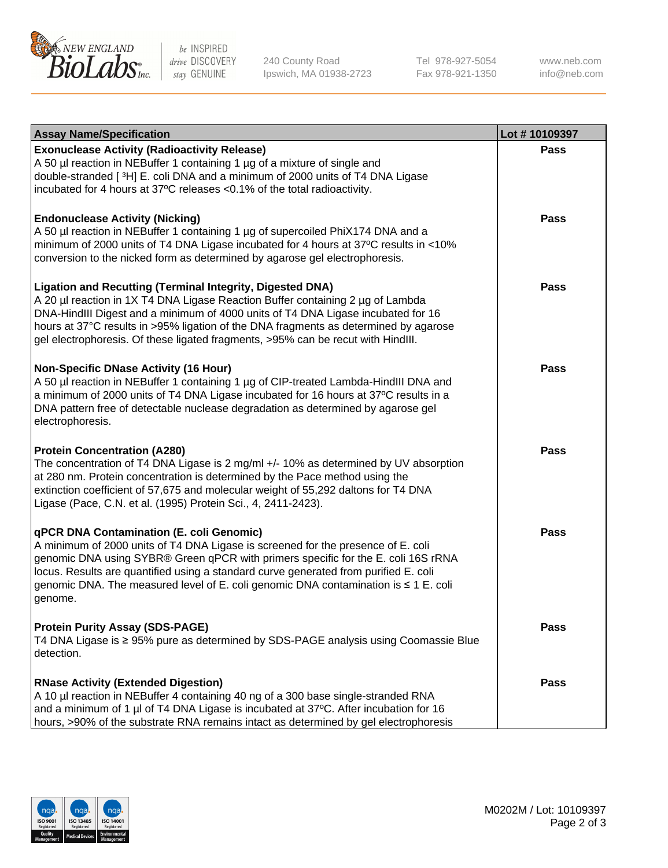

be INSPIRED drive DISCOVERY stay GENUINE

240 County Road Ipswich, MA 01938-2723 Tel 978-927-5054 Fax 978-921-1350 www.neb.com info@neb.com

| <b>Assay Name/Specification</b>                                                                                                                                                                                                                                                                                                                                                                                    | Lot #10109397 |
|--------------------------------------------------------------------------------------------------------------------------------------------------------------------------------------------------------------------------------------------------------------------------------------------------------------------------------------------------------------------------------------------------------------------|---------------|
| <b>Exonuclease Activity (Radioactivity Release)</b><br>A 50 µl reaction in NEBuffer 1 containing 1 µg of a mixture of single and<br>double-stranded [3H] E. coli DNA and a minimum of 2000 units of T4 DNA Ligase<br>incubated for 4 hours at 37°C releases <0.1% of the total radioactivity.                                                                                                                      | <b>Pass</b>   |
| <b>Endonuclease Activity (Nicking)</b><br>A 50 µl reaction in NEBuffer 1 containing 1 µg of supercoiled PhiX174 DNA and a<br>minimum of 2000 units of T4 DNA Ligase incubated for 4 hours at 37°C results in <10%<br>conversion to the nicked form as determined by agarose gel electrophoresis.                                                                                                                   | <b>Pass</b>   |
| <b>Ligation and Recutting (Terminal Integrity, Digested DNA)</b><br>A 20 µl reaction in 1X T4 DNA Ligase Reaction Buffer containing 2 µg of Lambda<br>DNA-HindIII Digest and a minimum of 4000 units of T4 DNA Ligase incubated for 16<br>hours at 37°C results in >95% ligation of the DNA fragments as determined by agarose<br>gel electrophoresis. Of these ligated fragments, >95% can be recut with HindIII. | <b>Pass</b>   |
| <b>Non-Specific DNase Activity (16 Hour)</b><br>A 50 µl reaction in NEBuffer 1 containing 1 µg of CIP-treated Lambda-HindIII DNA and<br>a minimum of 2000 units of T4 DNA Ligase incubated for 16 hours at 37°C results in a<br>DNA pattern free of detectable nuclease degradation as determined by agarose gel<br>electrophoresis.                                                                               | <b>Pass</b>   |
| <b>Protein Concentration (A280)</b><br>The concentration of T4 DNA Ligase is 2 mg/ml +/- 10% as determined by UV absorption<br>at 280 nm. Protein concentration is determined by the Pace method using the<br>extinction coefficient of 57,675 and molecular weight of 55,292 daltons for T4 DNA<br>Ligase (Pace, C.N. et al. (1995) Protein Sci., 4, 2411-2423).                                                  | Pass          |
| qPCR DNA Contamination (E. coli Genomic)<br>A minimum of 2000 units of T4 DNA Ligase is screened for the presence of E. coli<br>genomic DNA using SYBR® Green qPCR with primers specific for the E. coli 16S rRNA<br>locus. Results are quantified using a standard curve generated from purified E. coli<br>genomic DNA. The measured level of E. coli genomic DNA contamination is ≤ 1 E. coli<br>genome.        | <b>Pass</b>   |
| <b>Protein Purity Assay (SDS-PAGE)</b><br>T4 DNA Ligase is ≥ 95% pure as determined by SDS-PAGE analysis using Coomassie Blue<br>detection.                                                                                                                                                                                                                                                                        | <b>Pass</b>   |
| <b>RNase Activity (Extended Digestion)</b><br>A 10 µl reaction in NEBuffer 4 containing 40 ng of a 300 base single-stranded RNA<br>and a minimum of 1 µl of T4 DNA Ligase is incubated at 37°C. After incubation for 16<br>hours, >90% of the substrate RNA remains intact as determined by gel electrophoresis                                                                                                    | <b>Pass</b>   |